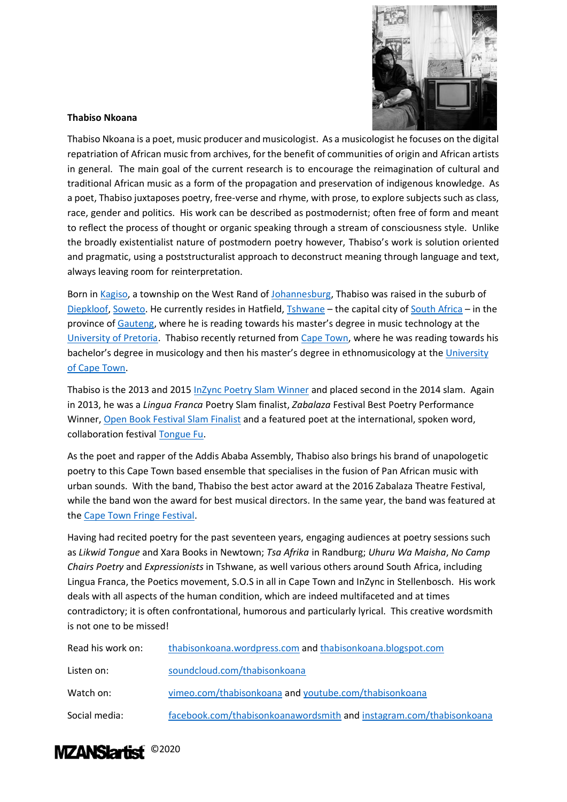

## **Thabiso Nkoana**

Thabiso Nkoana is a poet, music producer and musicologist. As a musicologist he focuses on the digital repatriation of African music from archives, for the benefit of communities of origin and African artists in general. The main goal of the current research is to encourage the reimagination of cultural and traditional African music as a form of the propagation and preservation of indigenous knowledge. As a poet, Thabiso juxtaposes poetry, free-verse and rhyme, with prose, to explore subjects such as class, race, gender and politics. His work can be described as postmodernist; often free of form and meant to reflect the process of thought or organic speaking through a stream of consciousness style. Unlike the broadly existentialist nature of postmodern poetry however, Thabiso's work is solution oriented and pragmatic, using a poststructuralist approach to deconstruct meaning through language and text, always leaving room for reinterpretation.

Born in [Kagiso,](https://www.mogalecity.gov.za/wp-content/uploads/Pdfs/kagiso_history.pdf?_t=1547619053) a township on the West Rand of [Johannesburg,](https://www.britannica.com/place/Johannesburg-South-Africa) Thabiso was raised in the suburb of [Diepkloof,](https://www.sahistory.org.za/place/diepkloof-soweto) [Soweto.](https://www.soweto.co.za/html/i_overview.htm) He currently resides in Hatfield, [Tshwane](https://showme.co.za/pretoria/tourism/history-of-pretoria/) – the capital city o[f South Africa](https://www.britannica.com/place/South-Africa) – in the province of [Gauteng](https://www.sahistory.org.za/place/gauteng), where he is reading towards his master's degree in music technology at the [University of Pretoria.](https://www.up.ac.za/) Thabiso recently returned from [Cape Town,](https://en.wikipedia.org/wiki/Cape_Town) where he was reading towards his bachelor's degree in musicology and then his master's degree in ethnomusicology at the [University](http://www.uct.ac.za/)  [of Cape Town.](http://www.uct.ac.za/)

Thabiso is the 2013 and 2015 [InZync Poetry Slam Winner](https://www.youtube.com/watch?time_continue=1&v=8Rpy6FNv3wU&feature=emb_title) and placed second in the 2014 slam. Again in 2013, he was a *Lingua Franca* Poetry Slam finalist, *Zabalaza* Festival Best Poetry Performance Winner, [Open Book Festival Slam Finalist](https://openbookfestival.co.za/authors/thabiso-nkoana-2/#:~:text=Thabiso%20Nkoana%20is%20the%202013%20and%202015%20InZync,Performance%20winner%20and%20Open%20Book%20Festival%20slam%20finalist.) and a featured poet at the international, spoken word, collaboration festival [Tongue Fu.](https://www.litnet.co.za/poetry-gets-a-tongue-lashing/)

As the poet and rapper of the Addis Ababa Assembly, Thabiso also brings his brand of unapologetic poetry to this Cape Town based ensemble that specialises in the fusion of Pan African music with urban sounds. With the band, Thabiso the best actor award at the 2016 Zabalaza Theatre Festival, while the band won the award for best musical directors. In the same year, the band was featured at the [Cape Town Fringe Festival.](https://issuu.com/kingstonza/docs/ctf_programme_2016_)

Having had recited poetry for the past seventeen years, engaging audiences at poetry sessions such as *Likwid Tongue* and Xara Books in Newtown; *Tsa Afrika* in Randburg; *Uhuru Wa Maisha*, *No Camp Chairs Poetry* and *Expressionists* in Tshwane, as well various others around South Africa, including Lingua Franca, the Poetics movement, S.O.S in all in Cape Town and InZync in Stellenbosch. His work deals with all aspects of the human condition, which are indeed multifaceted and at times contradictory; it is often confrontational, humorous and particularly lyrical. This creative wordsmith is not one to be missed!

| Read his work on: | thabisonkoana.wordpress.com and thabisonkoana.blogspot.com          |
|-------------------|---------------------------------------------------------------------|
| Listen on:        | soundcloud.com/thabisonkoana                                        |
| Watch on:         | vimeo.com/thabisonkoana and youtube.com/thabisonkoana               |
| Social media:     | facebook.com/thabisonkoanawordsmith and instagram.com/thabisonkoana |

## MZANSIartist<sup>02020</sup>